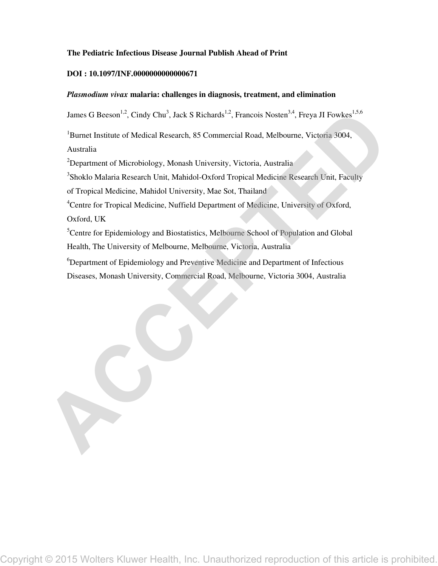# **The Pediatric Infectious Disease Journal Publish Ahead of Print**

### **DOI : 10.1097/INF.0000000000000671**

## *Plasmodium vivax* **malaria: challenges in diagnosis, treatment, and elimination**

James G Beeson<sup>1,2</sup>, Cindy Chu<sup>3</sup>, Jack S Richards<sup>1,2</sup>, Francois Nosten<sup>3,4</sup>, Freya JI Fowkes<sup>1,5,6</sup>

<sup>1</sup>Burnet Institute of Medical Research, 85 Commercial Road, Melbourne, Victoria 3004, Australia

<sup>2</sup>Department of Microbiology, Monash University, Victoria, Australia

<sup>3</sup>Shoklo Malaria Research Unit, Mahidol-Oxford Tropical Medicine Research Unit, Faculty

of Tropical Medicine, Mahidol University, Mae Sot, Thailand

<sup>4</sup>Centre for Tropical Medicine, Nuffield Department of Medicine, University of Oxford, Oxford, UK

<sup>5</sup>Centre for Epidemiology and Biostatistics, Melbourne School of Population and Global Health, The University of Melbourne, Melbourne, Victoria, Australia Experiment of Detailed Revealers Kluwer Health, Inc. Unauthorized reproduction of this article is prohibited.<br>
Newton Association of Modeleslegs, Models Kluwer Messing, Models Kluwer Health, Popper Messing Revealers Contro

<sup>6</sup>Department of Epidemiology and Preventive Medicine and Department of Infectious Diseases, Monash University, Commercial Road, Melbourne, Victoria 3004, Australia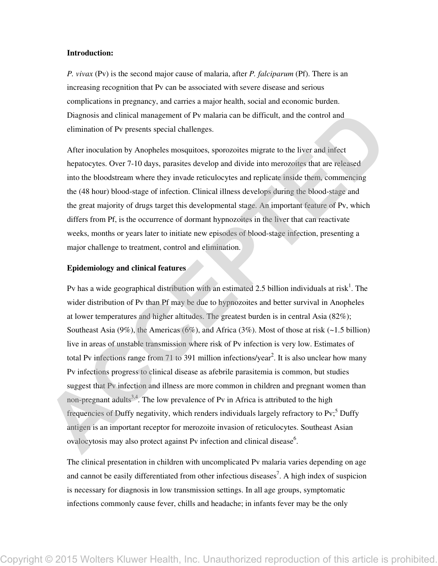### **Introduction:**

*P. vivax* (Pv) is the second major cause of malaria, after *P. falciparum* (Pf). There is an increasing recognition that Pv can be associated with severe disease and serious complications in pregnancy, and carries a major health, social and economic burden. Diagnosis and clinical management of Pv malaria can be difficult, and the control and elimination of Pv presents special challenges.

After inoculation by Anopheles mosquitoes, sporozoites migrate to the liver and infect hepatocytes. Over 7-10 days, parasites develop and divide into merozoites that are released into the bloodstream where they invade reticulocytes and replicate inside them, commencing the (48 hour) blood-stage of infection. Clinical illness develops during the blood-stage and the great majority of drugs target this developmental stage. An important feature of Pv, which differs from Pf, is the occurrence of dormant hypnozoites in the liver that can reactivate weeks, months or years later to initiate new episodes of blood-stage infection, presenting a major challenge to treatment, control and elimination.

#### **Epidemiology and clinical features**

Pv has a wide geographical distribution with an estimated 2.5 billion individuals at risk<sup>1</sup>. The wider distribution of Pv than Pf may be due to hypnozoites and better survival in Anopheles at lower temperatures and higher altitudes. The greatest burden is in central Asia (82%); Southeast Asia (9%), the Americas (6%), and Africa (3%). Most of those at risk (~1.5 billion) live in areas of unstable transmission where risk of Pv infection is very low. Estimates of total Pv infections range from 71 to 391 million infections/year<sup>2</sup>. It is also unclear how many Pv infections progress to clinical disease as afebrile parasitemia is common, but studies suggest that Pv infection and illness are more common in children and pregnant women than non-pregnant adults<sup>3,4</sup>. The low prevalence of Pv in Africa is attributed to the high frequencies of Duffy negativity, which renders individuals largely refractory to Pv;<sup>5</sup> Duffy antigen is an important receptor for merozoite invasion of reticulocytes. Southeast Asian ovalocytosis may also protect against Pv infection and clinical disease<sup>6</sup>. Disputed the state of the properties entitled and the state of the state of the state of the state including the state of the state including the state including the state including the state including the state is proposi

The clinical presentation in children with uncomplicated Pv malaria varies depending on age and cannot be easily differentiated from other infectious diseases<sup>7</sup>. A high index of suspicion is necessary for diagnosis in low transmission settings. In all age groups, symptomatic infections commonly cause fever, chills and headache; in infants fever may be the only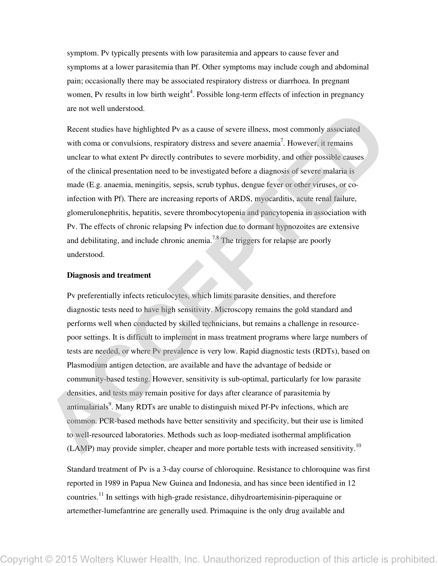symptom. Pv typically presents with low parasitemia and appears to cause fever and symptoms at a lower parasitemia than Pf. Other symptoms may include cough and abdominal pain; occasionally there may be associated respiratory distress or diarrhoea. In pregnant women, Pv results in low birth weight<sup>4</sup>. Possible long-term effects of infection in pregnancy are not well understood.

Recent studies have highlighted Pv as a cause of severe illness, most commonly associated with coma or convulsions, respiratory distress and severe anaemia<sup>7</sup>. However, it remains unclear to what extent Pv directly contributes to severe morbidity, and other possible causes of the clinical presentation need to be investigated before a diagnosis of severe malaria is made (E.g. anaemia, meningitis, sepsis, scrub typhus, dengue fever or other viruses, or coinfection with Pf). There are increasing reports of ARDS, myocarditis, acute renal failure, glomerulonephritis, hepatitis, severe thrombocytopenia and pancytopenia in association with Pv. The effects of chronic relapsing Pv infection due to dormant hypnozoites are extensive and debilitating, and include chronic anemia.<sup>7,8</sup> The triggers for relapse are poorly understood.

### **Diagnosis and treatment**

Pv preferentially infects reticulocytes, which limits parasite densities, and therefore diagnostic tests need to have high sensitivity. Microscopy remains the gold standard and performs well when conducted by skilled technicians, but remains a challenge in resourcepoor settings. It is difficult to implement in mass treatment programs where large numbers of tests are needed, or where Pv prevalence is very low. Rapid diagnostic tests (RDTs), based on Plasmodium antigen detection, are available and have the advantage of bedside or community-based testing. However, sensitivity is sub-optimal, particularly for low parasite densities, and tests may remain positive for days after clearance of parasitemia by antimalarials<sup>9</sup>. Many RDTs are unable to distinguish mixed Pf-Pv infections, which are common. PCR-based methods have better sensitivity and specificity, but their use is limited to well-resourced laboratories. Methods such as loop-mediated isothermal amplification  $(LAMP)$  may provide simpler, cheaper and more portable tests with increased sensitivity.<sup>10</sup> E mean we may have a compute the state of the state of the state of the state of the state of the state of the state of the state of the state of the state of the state of the state of the state of the state of the decembe

Standard treatment of Pv is a 3-day course of chloroquine. Resistance to chloroquine was first reported in 1989 in Papua New Guinea and Indonesia, and has since been identified in 12 countries.<sup>11</sup> In settings with high-grade resistance, dihydroartemisinin-piperaquine or artemether-lumefantrine are generally used. Primaquine is the only drug available and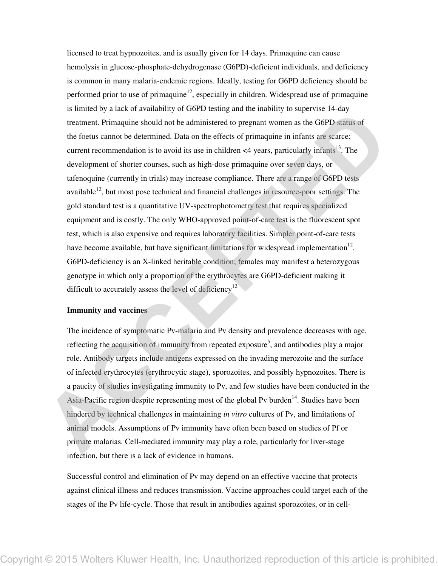licensed to treat hypnozoites, and is usually given for 14 days. Primaquine can cause hemolysis in glucose-phosphate-dehydrogenase (G6PD)-deficient individuals, and deficiency is common in many malaria-endemic regions. Ideally, testing for G6PD deficiency should be performed prior to use of primaquine<sup>12</sup>, especially in children. Widespread use of primaquine is limited by a lack of availability of G6PD testing and the inability to supervise 14-day treatment. Primaquine should not be administered to pregnant women as the G6PD status of the foetus cannot be determined. Data on the effects of primaquine in infants are scarce; current recommendation is to avoid its use in children  $\leq 4$  years, particularly infants<sup>13</sup>. The development of shorter courses, such as high-dose primaquine over seven days, or tafenoquine (currently in trials) may increase compliance. There are a range of G6PD tests available $12$ , but most pose technical and financial challenges in resource-poor settings. The gold standard test is a quantitative UV-spectrophotometry test that requires specialized equipment and is costly. The only WHO-approved point-of-care test is the fluorescent spot test, which is also expensive and requires laboratory facilities. Simpler point-of-care tests have become available, but have significant limitations for widespread implementation $12$ . G6PD-deficiency is an X-linked heritable condition; females may manifest a heterozygous genotype in which only a proportion of the erythrocytes are G6PD-deficient making it difficult to accurately assess the level of deficiency<sup>12</sup> Contrast, the acceleration of the state of the contrast of the state of the state of the state of the state of the state of the state of the state of the state of the state of the state of the state of the state of the sta

## **Immunity and vaccines**

The incidence of symptomatic Pv-malaria and Pv density and prevalence decreases with age, reflecting the acquisition of immunity from repeated exposure<sup>5</sup>, and antibodies play a major role. Antibody targets include antigens expressed on the invading merozoite and the surface of infected erythrocytes (erythrocytic stage), sporozoites, and possibly hypnozoites. There is a paucity of studies investigating immunity to Pv, and few studies have been conducted in the Asia-Pacific region despite representing most of the global Pv burden<sup>14</sup>. Studies have been hindered by technical challenges in maintaining *in vitro* cultures of Pv, and limitations of animal models. Assumptions of Pv immunity have often been based on studies of Pf or primate malarias. Cell-mediated immunity may play a role, particularly for liver-stage infection, but there is a lack of evidence in humans.

Successful control and elimination of Pv may depend on an effective vaccine that protects against clinical illness and reduces transmission. Vaccine approaches could target each of the stages of the Pv life-cycle. Those that result in antibodies against sporozoites, or in cell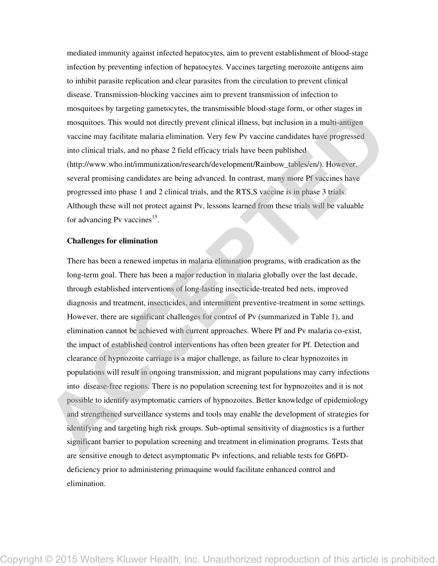mediated immunity against infected hepatocytes, aim to prevent establishment of blood-stage infection by preventing infection of hepatocytes. Vaccines targeting merozoite antigens aim to inhibit parasite replication and clear parasites from the circulation to prevent clinical disease. Transmission-blocking vaccines aim to prevent transmission of infection to mosquitoes by targeting gametocytes, the transmissible blood-stage form, or other stages in mosquitoes. This would not directly prevent clinical illness, but inclusion in a multi-antigen vaccine may facilitate malaria elimination. Very few Pv vaccine candidates have progressed into clinical trials, and no phase 2 field efficacy trials have been published (http://www.who.int/immunization/research/development/Rainbow\_tables/en/). However, several promising candidates are being advanced. In contrast, many more Pf vaccines have progressed into phase 1 and 2 clinical trials, and the RTS,S vaccine is in phase 3 trials. Although these will not protect against Pv, lessons learned from these trials will be valuable for advancing Pv vaccines<sup>15</sup>.

#### **Challenges for elimination**

There has been a renewed impetus in malaria elimination programs, with eradication as the long-term goal. There has been a major reduction in malaria globally over the last decade, through established interventions of long-lasting insecticide-treated bed nets, improved diagnosis and treatment, insecticides, and intermittent preventive-treatment in some settings. However, there are significant challenges for control of Pv (summarized in Table 1), and elimination cannot be achieved with current approaches. Where Pf and Pv malaria co-exist, the impact of established control interventions has often been greater for Pf. Detection and clearance of hypnozoite carriage is a major challenge, as failure to clear hypnozoites in populations will result in ongoing transmission, and migrant populations may carry infections into disease-free regions. There is no population screening test for hypnozoites and it is not possible to identify asymptomatic carriers of hypnozoites. Better knowledge of epidemiology and strengthened surveillance systems and tools may enable the development of strategies for identifying and targeting high risk groups. Sub-optimal sensitivity of diagnostics is a further significant barrier to population screening and treatment in elimination programs. Tests that are sensitive enough to detect asymptomatic Pv infections, and reliable tests for G6PDdeficiency prior to administering primaquine would facilitate enhanced control and elimination. Frame of the matter of the time of the matter of the control window the same of the matter of the same of the same of the same of the same of the same of the same of the same of the same of the same of the same of the same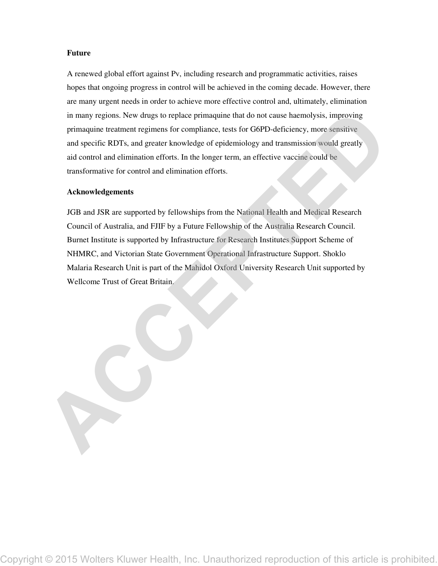### **Future**

A renewed global effort against Pv, including research and programmatic activities, raises hopes that ongoing progress in control will be achieved in the coming decade. However, there are many urgent needs in order to achieve more effective control and, ultimately, elimination in many regions. New drugs to replace primaquine that do not cause haemolysis, improving primaquine treatment regimens for compliance, tests for G6PD-deficiency, more sensitive and specific RDTs, and greater knowledge of epidemiology and transmission would greatly aid control and elimination efforts. In the longer term, an effective vaccine could be transformative for control and elimination efforts.

#### **Acknowledgements**

JGB and JSR are supported by fellowships from the National Health and Medical Research Council of Australia, and FJIF by a Future Fellowship of the Australia Research Council. Burnet Institute is supported by Infrastructure for Research Institutes Support Scheme of NHMRC, and Victorian State Government Operational Infrastructure Support. Shoklo Malaria Research Unit is part of the Mahidol Oxford University Research Unit supported by Wellcome Trust of Great Britain. in many equinos. As we draw to replace a for examplinance, total for GOP-Selfestaney, more sometive past specific RDTs, and genetic knowledge of cylotimidely and transmission words greatly and specific RDTs, and genetic kn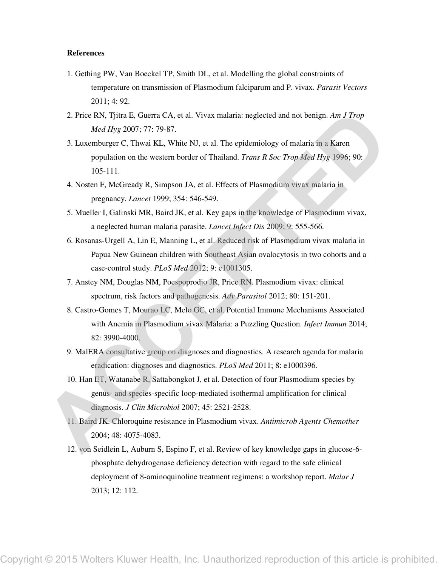#### **References**

- 1. Gething PW, Van Boeckel TP, Smith DL, et al. Modelling the global constraints of temperature on transmission of Plasmodium falciparum and P. vivax. *Parasit Vectors*  2011; 4: 92.
- 2. Price RN, Tjitra E, Guerra CA, et al. Vivax malaria: neglected and not benign. *Am J Trop Med Hyg* 2007; 77: 79-87.
- 3. Luxemburger C, Thwai KL, White NJ, et al. The epidemiology of malaria in a Karen population on the western border of Thailand. *Trans R Soc Trop Med Hyg* 1996; 90: 105-111.
- 4. Nosten F, McGready R, Simpson JA, et al. Effects of Plasmodium vivax malaria in pregnancy. *Lancet* 1999; 354: 546-549.
- 5. Mueller I, Galinski MR, Baird JK, et al. Key gaps in the knowledge of Plasmodium vivax, a neglected human malaria parasite. *Lancet Infect Dis* 2009; 9: 555-566.
- 6. Rosanas-Urgell A, Lin E, Manning L, et al. Reduced risk of Plasmodium vivax malaria in Papua New Guinean children with Southeast Asian ovalocytosis in two cohorts and a case-control study. *PLoS Med* 2012; 9: e1001305.
- 7. Anstey NM, Douglas NM, Poespoprodjo JR, Price RN. Plasmodium vivax: clinical spectrum, risk factors and pathogenesis. *Adv Parasitol* 2012; 80: 151-201.
- 8. Castro-Gomes T, Mourao LC, Melo GC, et al. Potential Immune Mechanisms Associated with Anemia in Plasmodium vivax Malaria: a Puzzling Question. *Infect Immun* 2014; 82: 3990-4000.
- 9. MalERA consultative group on diagnoses and diagnostics. A research agenda for malaria eradication: diagnoses and diagnostics. *PLoS Med* 2011; 8: e1000396.
- 10. Han ET, Watanabe R, Sattabongkot J, et al. Detection of four Plasmodium species by genus- and species-specific loop-mediated isothermal amplification for clinical diagnosis. *J Clin Microbiol* 2007; 45: 2521-2528.
- 11. Baird JK. Chloroquine resistance in Plasmodium vivax. *Antimicrob Agents Chemother*  2004; 48: 4075-4083.
- 12. von Seidlein L, Auburn S, Espino F, et al. Review of key knowledge gaps in glucose-6 phosphate dehydrogenase deficiency detection with regard to the safe clinical deployment of 8-aminoquinoline treatment regimens: a workshop report. *Malar J*  2013; 12: 112. 2. Prices Klumer Col, est. Voca. and<br>there explores and as formula and Europa Mellem Copyright Control in the velocity of the maintain and the set of the set of the set of the set of the set of the set of the set of the s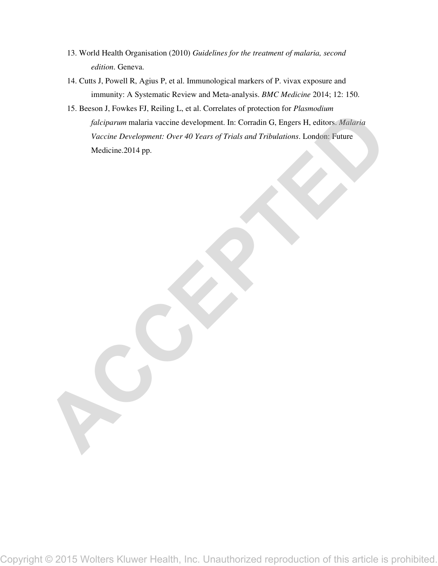- 13. World Health Organisation (2010) *Guidelines for the treatment of malaria, second edition*. Geneva.
- 14. Cutts J, Powell R, Agius P, et al. Immunological markers of P. vivax exposure and immunity: A Systematic Review and Meta-analysis. *BMC Medicine* 2014; 12: 150.
- 15. Beeson J, Fowkes FJ, Reiling L, et al. Correlates of protection for *Plasmodium falciparum* malaria vaccine development. In: Corradin G, Engers H, editors. *Malaria Vaccine Development: Over 40 Years of Trials and Tribulations*. London: Future Medicine.2014 pp. Copyright © 2015 Wolters Kluwer Health, Inc. Unauthorized reproduction of this article is prohibited.<br>
Copyright © 2015 Wolters Kluwer Health, Inc. Unauthorized reproduction of this article is prohibited.